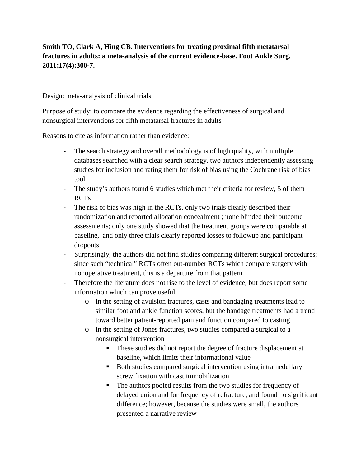## **Smith TO, Clark A, Hing CB. Interventions for treating proximal fifth metatarsal fractures in adults: a meta-analysis of the current evidence-base. Foot Ankle Surg. 2011;17(4):300-7.**

Design: meta-analysis of clinical trials

Purpose of study: to compare the evidence regarding the effectiveness of surgical and nonsurgical interventions for fifth metatarsal fractures in adults

Reasons to cite as information rather than evidence:

- The search strategy and overall methodology is of high quality, with multiple databases searched with a clear search strategy, two authors independently assessing studies for inclusion and rating them for risk of bias using the Cochrane risk of bias tool
- The study's authors found 6 studies which met their criteria for review, 5 of them RCTs
- The risk of bias was high in the RCTs, only two trials clearly described their randomization and reported allocation concealment ; none blinded their outcome assessments; only one study showed that the treatment groups were comparable at baseline, and only three trials clearly reported losses to followup and participant dropouts
- Surprisingly, the authors did not find studies comparing different surgical procedures; since such "technical" RCTs often out-number RCTs which compare surgery with nonoperative treatment, this is a departure from that pattern
- Therefore the literature does not rise to the level of evidence, but does report some information which can prove useful
	- o In the setting of avulsion fractures, casts and bandaging treatments lead to similar foot and ankle function scores, but the bandage treatments had a trend toward better patient-reported pain and function compared to casting
	- o In the setting of Jones fractures, two studies compared a surgical to a nonsurgical intervention
		- These studies did not report the degree of fracture displacement at baseline, which limits their informational value
		- Both studies compared surgical intervention using intramedullary screw fixation with cast immobilization
		- The authors pooled results from the two studies for frequency of delayed union and for frequency of refracture, and found no significant difference; however, because the studies were small, the authors presented a narrative review